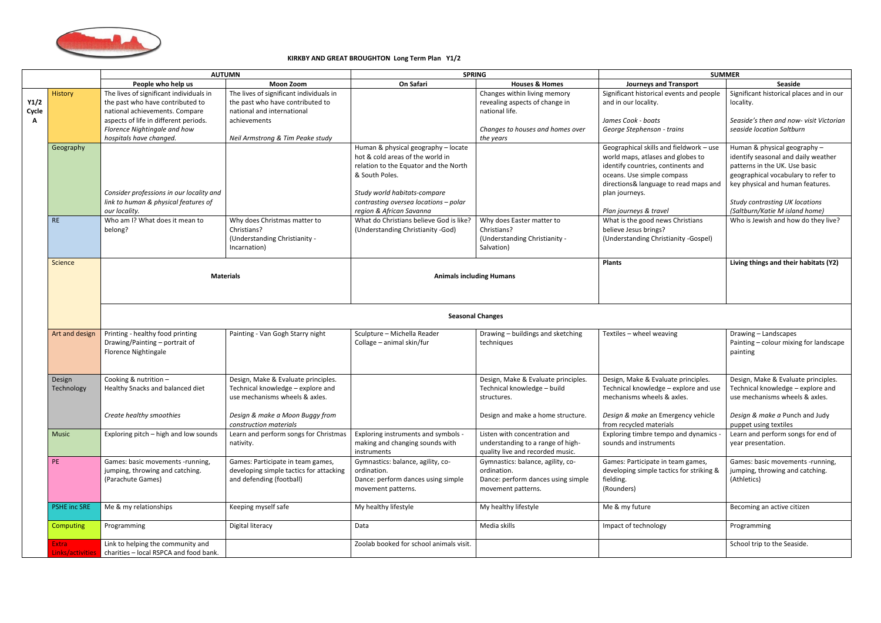

## **KIRKBY AND GREAT BROUGHTON Long Term Plan Y1/2**

|               |                                | <b>AUTUMN</b>                                                                                                 |                                                                                                            | <b>SPRING</b>                                                                                                                                                                                                                           |                                                                                                              | <b>SUMMER</b>                                                                                                                                                                                                                         |                                                                                                                                                                                                                                                            |
|---------------|--------------------------------|---------------------------------------------------------------------------------------------------------------|------------------------------------------------------------------------------------------------------------|-----------------------------------------------------------------------------------------------------------------------------------------------------------------------------------------------------------------------------------------|--------------------------------------------------------------------------------------------------------------|---------------------------------------------------------------------------------------------------------------------------------------------------------------------------------------------------------------------------------------|------------------------------------------------------------------------------------------------------------------------------------------------------------------------------------------------------------------------------------------------------------|
|               |                                | People who help us                                                                                            | <b>Moon Zoom</b>                                                                                           | On Safari                                                                                                                                                                                                                               | <b>Houses &amp; Homes</b>                                                                                    | <b>Journeys and Transport</b>                                                                                                                                                                                                         | Seaside                                                                                                                                                                                                                                                    |
| Y1/2<br>Cycle | <b>History</b>                 | The lives of significant individuals in<br>the past who have contributed to<br>national achievements. Compare | The lives of significant individuals in<br>the past who have contributed to<br>national and international  |                                                                                                                                                                                                                                         | Changes within living memory<br>revealing aspects of change in<br>national life.                             | Significant historical events and people<br>and in our locality.                                                                                                                                                                      | Significant historical places and in our<br>locality.                                                                                                                                                                                                      |
|               |                                | aspects of life in different periods.<br>Florence Nightingale and how<br>hospitals have changed.              | achievements<br>Neil Armstrong & Tim Peake study                                                           |                                                                                                                                                                                                                                         | Changes to houses and homes over<br>the years                                                                | James Cook - boats<br>George Stephenson - trains                                                                                                                                                                                      | Seaside's then and now- visit Victorian<br>seaside location Saltburn                                                                                                                                                                                       |
|               | Geography                      | Consider professions in our locality and<br>link to human & physical features of<br>our locality.             |                                                                                                            | Human & physical geography - locate<br>hot & cold areas of the world in<br>relation to the Equator and the North<br>& South Poles.<br>Study world habitats-compare<br>contrasting oversea locations - polar<br>region & African Savanna |                                                                                                              | Geographical skills and fieldwork - use<br>world maps, atlases and globes to<br>identify countries, continents and<br>oceans. Use simple compass<br>directions& language to read maps and<br>plan journeys.<br>Plan journeys & travel | Human & physical geography -<br>identify seasonal and daily weather<br>patterns in the UK. Use basic<br>geographical vocabulary to refer to<br>key physical and human features.<br><b>Study contrasting UK locations</b><br>(Saltburn/Katie M island home) |
|               | <b>RE</b>                      | Who am I? What does it mean to<br>belong?                                                                     | Why does Christmas matter to<br>Christians?<br>(Understanding Christianity -<br>Incarnation)               | What do Christians believe God is like?<br>(Understanding Christianity -God)                                                                                                                                                            | Why does Easter matter to<br>Christians?<br>(Understanding Christianity -<br>Salvation)                      | What is the good news Christians<br>believe Jesus brings?<br>(Understanding Christianity -Gospel)                                                                                                                                     | Who is Jewish and how do they live?                                                                                                                                                                                                                        |
|               | Science                        |                                                                                                               | <b>Materials</b>                                                                                           |                                                                                                                                                                                                                                         | <b>Animals including Humans</b>                                                                              | <b>Plants</b>                                                                                                                                                                                                                         | Living things and their habitats (Y2)                                                                                                                                                                                                                      |
|               |                                |                                                                                                               |                                                                                                            | <b>Seasonal Changes</b>                                                                                                                                                                                                                 |                                                                                                              |                                                                                                                                                                                                                                       |                                                                                                                                                                                                                                                            |
|               | Art and design                 | Printing - healthy food printing<br>Drawing/Painting - portrait of<br><b>Florence Nightingale</b>             | Painting - Van Gogh Starry night                                                                           | Sculpture - Michella Reader<br>Collage - animal skin/fur                                                                                                                                                                                | Drawing - buildings and sketching<br>techniques                                                              | Textiles - wheel weaving                                                                                                                                                                                                              | Drawing - Landscapes<br>Painting - colour mixing for landscape<br>painting                                                                                                                                                                                 |
|               | Design<br>Technology           | Cooking & nutrition -<br>Healthy Snacks and balanced diet                                                     | Design, Make & Evaluate principles.<br>Technical knowledge - explore and<br>use mechanisms wheels & axles. |                                                                                                                                                                                                                                         | Design, Make & Evaluate principles.<br>Technical knowledge - build<br>structures.                            | Design, Make & Evaluate principles.<br>Technical knowledge - explore and use<br>mechanisms wheels & axles.                                                                                                                            | Design, Make & Evaluate principles.<br>Technical knowledge - explore and<br>use mechanisms wheels & axles.                                                                                                                                                 |
|               |                                | Create healthy smoothies                                                                                      | Design & make a Moon Buggy from<br>construction materials                                                  |                                                                                                                                                                                                                                         | Design and make a home structure.                                                                            | Design & make an Emergency vehicle<br>from recycled materials                                                                                                                                                                         | Design & make a Punch and Judy<br>puppet using textiles                                                                                                                                                                                                    |
|               | Music                          | Exploring pitch - high and low sounds                                                                         | Learn and perform songs for Christmas<br>nativity.                                                         | Exploring instruments and symbols -<br>making and changing sounds with<br>instruments                                                                                                                                                   | Listen with concentration and<br>understanding to a range of high-<br>quality live and recorded music.       | Exploring timbre tempo and dynamics -<br>sounds and instruments                                                                                                                                                                       | Learn and perform songs for end of<br>year presentation.                                                                                                                                                                                                   |
|               | PE                             | Games: basic movements -running,<br>jumping, throwing and catching.<br>(Parachute Games)                      | Games: Participate in team games,<br>developing simple tactics for attacking<br>and defending (football)   | Gymnastics: balance, agility, co-<br>ordination.<br>Dance: perform dances using simple<br>movement patterns.                                                                                                                            | Gymnastics: balance, agility, co-<br>ordination.<br>Dance: perform dances using simple<br>movement patterns. | Games: Participate in team games,<br>developing simple tactics for striking &<br>fielding.<br>(Rounders)                                                                                                                              | Games: basic movements -running,<br>jumping, throwing and catching.<br>(Athletics)                                                                                                                                                                         |
|               | <b>PSHE inc SRE</b>            | Me & my relationships                                                                                         | Keeping myself safe                                                                                        | My healthy lifestyle                                                                                                                                                                                                                    | My healthy lifestyle                                                                                         | Me & my future                                                                                                                                                                                                                        | Becoming an active citizen                                                                                                                                                                                                                                 |
|               | Computing                      | Programming                                                                                                   | Digital literacy                                                                                           | Data                                                                                                                                                                                                                                    | Media skills                                                                                                 | Impact of technology                                                                                                                                                                                                                  | Programming                                                                                                                                                                                                                                                |
|               | <b>Extra</b><br>.inks/activiti | Link to helping the community and<br>charities - local RSPCA and food bank.                                   |                                                                                                            | Zoolab booked for school animals visit.                                                                                                                                                                                                 |                                                                                                              |                                                                                                                                                                                                                                       | School trip to the Seaside.                                                                                                                                                                                                                                |